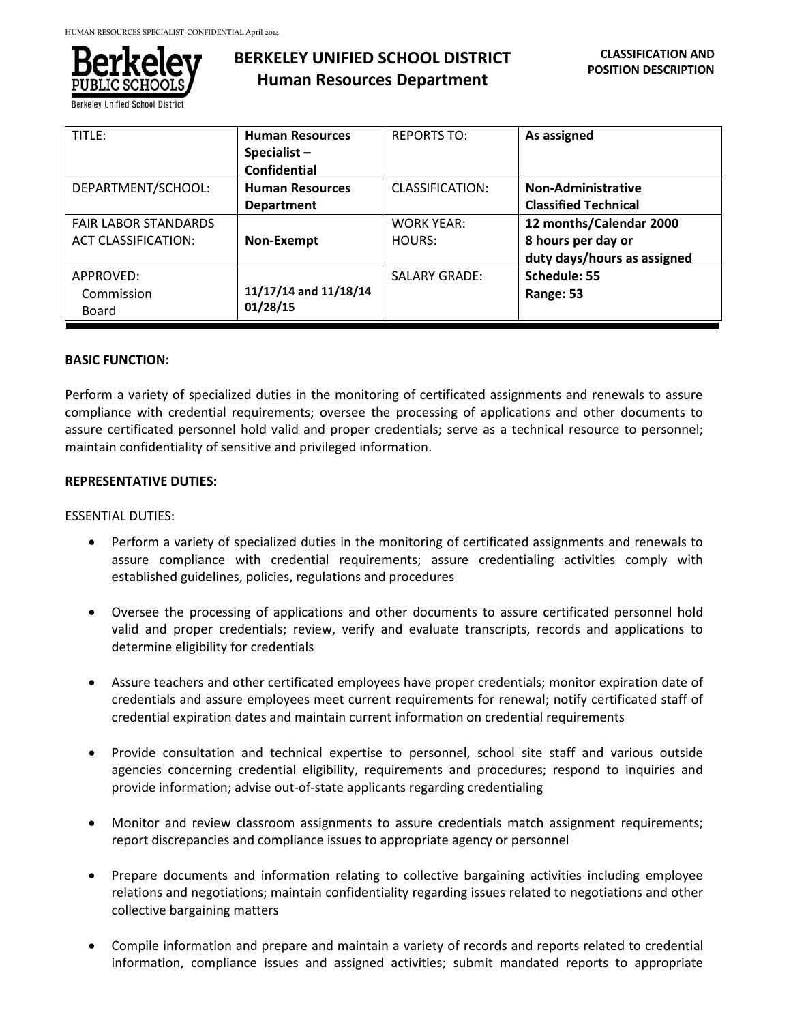

Berkeley Unified School District

# **BERKELEY UNIFIED SCHOOL DISTRICT Human Resources Department**

| TITLE:                      | <b>Human Resources</b> | <b>REPORTS TO:</b>   | As assigned                 |
|-----------------------------|------------------------|----------------------|-----------------------------|
|                             | Specialist $-$         |                      |                             |
|                             | <b>Confidential</b>    |                      |                             |
| DEPARTMENT/SCHOOL:          | <b>Human Resources</b> | CLASSIFICATION:      | <b>Non-Administrative</b>   |
|                             | <b>Department</b>      |                      | <b>Classified Technical</b> |
| <b>FAIR LABOR STANDARDS</b> |                        | <b>WORK YEAR:</b>    | 12 months/Calendar 2000     |
| <b>ACT CLASSIFICATION:</b>  | Non-Exempt             | HOURS:               | 8 hours per day or          |
|                             |                        |                      | duty days/hours as assigned |
| APPROVED:                   |                        | <b>SALARY GRADE:</b> | Schedule: 55                |
| Commission                  | 11/17/14 and 11/18/14  |                      | Range: 53                   |
| Board                       | 01/28/15               |                      |                             |

#### **BASIC FUNCTION:**

Perform a variety of specialized duties in the monitoring of certificated assignments and renewals to assure compliance with credential requirements; oversee the processing of applications and other documents to assure certificated personnel hold valid and proper credentials; serve as a technical resource to personnel; maintain confidentiality of sensitive and privileged information.

#### **REPRESENTATIVE DUTIES:**

ESSENTIAL DUTIES:

- Perform a variety of specialized duties in the monitoring of certificated assignments and renewals to assure compliance with credential requirements; assure credentialing activities comply with established guidelines, policies, regulations and procedures
- Oversee the processing of applications and other documents to assure certificated personnel hold valid and proper credentials; review, verify and evaluate transcripts, records and applications to determine eligibility for credentials
- Assure teachers and other certificated employees have proper credentials; monitor expiration date of credentials and assure employees meet current requirements for renewal; notify certificated staff of credential expiration dates and maintain current information on credential requirements
- Provide consultation and technical expertise to personnel, school site staff and various outside agencies concerning credential eligibility, requirements and procedures; respond to inquiries and provide information; advise out-of-state applicants regarding credentialing
- Monitor and review classroom assignments to assure credentials match assignment requirements; report discrepancies and compliance issues to appropriate agency or personnel
- Prepare documents and information relating to collective bargaining activities including employee relations and negotiations; maintain confidentiality regarding issues related to negotiations and other collective bargaining matters
- Compile information and prepare and maintain a variety of records and reports related to credential information, compliance issues and assigned activities; submit mandated reports to appropriate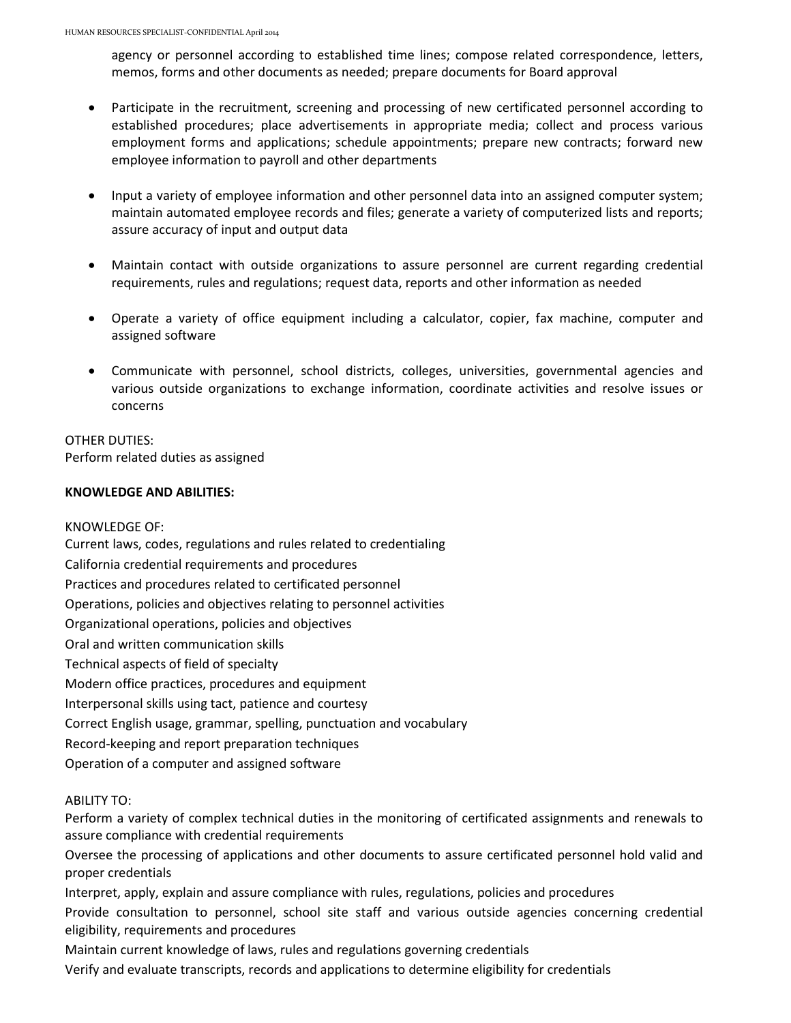agency or personnel according to established time lines; compose related correspondence, letters, memos, forms and other documents as needed; prepare documents for Board approval

- Participate in the recruitment, screening and processing of new certificated personnel according to established procedures; place advertisements in appropriate media; collect and process various employment forms and applications; schedule appointments; prepare new contracts; forward new employee information to payroll and other departments
- Input a variety of employee information and other personnel data into an assigned computer system; maintain automated employee records and files; generate a variety of computerized lists and reports; assure accuracy of input and output data
- Maintain contact with outside organizations to assure personnel are current regarding credential requirements, rules and regulations; request data, reports and other information as needed
- Operate a variety of office equipment including a calculator, copier, fax machine, computer and assigned software
- Communicate with personnel, school districts, colleges, universities, governmental agencies and various outside organizations to exchange information, coordinate activities and resolve issues or concerns

## OTHER DUTIES:

Perform related duties as assigned

### **KNOWLEDGE AND ABILITIES:**

### KNOWLEDGE OF:

Current laws, codes, regulations and rules related to credentialing California credential requirements and procedures Practices and procedures related to certificated personnel Operations, policies and objectives relating to personnel activities Organizational operations, policies and objectives Oral and written communication skills Technical aspects of field of specialty Modern office practices, procedures and equipment Interpersonal skills using tact, patience and courtesy Correct English usage, grammar, spelling, punctuation and vocabulary Record-keeping and report preparation techniques Operation of a computer and assigned software

### ABILITY TO:

Perform a variety of complex technical duties in the monitoring of certificated assignments and renewals to assure compliance with credential requirements

Oversee the processing of applications and other documents to assure certificated personnel hold valid and proper credentials

Interpret, apply, explain and assure compliance with rules, regulations, policies and procedures

Provide consultation to personnel, school site staff and various outside agencies concerning credential eligibility, requirements and procedures

Maintain current knowledge of laws, rules and regulations governing credentials

Verify and evaluate transcripts, records and applications to determine eligibility for credentials